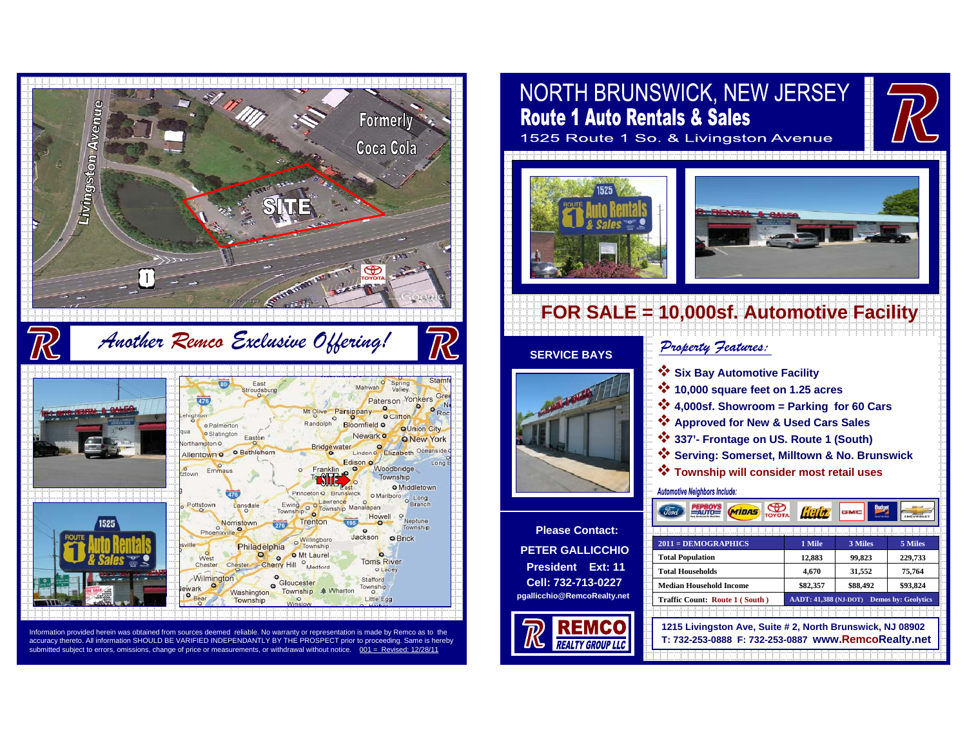

Information provided herein was obtained from sources deemed reliable. No warranty or representation is made by Remco as to the accuracy thereto. All information SHOULD BE VARIFIED INDEPENDANTLY BY THE PROSPECT prior to proceeding. Same is hereby submitted subject to errors, omissions, change of price or measurements, or withdrawal without notice.

# **NORTH BRUNSWICK, NEW JERSEY Route 1 Auto Rentals & Sales**

1525 Route 1 So. & Livingston Avenue





## **FOR SALE = 10,000sf. Automotive Facility**

#### **SERVICE BAYS**



**Please Contact:PETER GALLICCHIOPresident Ext: 11Cell: 732-713-0227pgallicchio@RemcoRealty.net** Property Jeatures:

- **Six Bay Automotive Facility**
- **10,000 square feet on 1.25 acres**
- **4,000sf. Showroom = Parking for 60 Cars**
- **Approved for New & Used Cars Sales**
- **337'- Frontage on US. Route 1 (South)**
- **Serving: Somerset, Milltown & No. Brunswick**
- **Township will consider most retail uses**

#### **Automotive Neighbors Include:**

 $\circledast$ **PEPBOYS**<br>= AUTO= lielt **MIDAS 2011 = DEMOGRAPHICS 1 Mile 3 Miles 5 Miles Total Population 12,883 99,823 229,733 Total Households 4,670 31,552 75,764 Median Household Income \$82,357 \$88,492 \$93,824 Traffic Count: Route 1 ( South ) AADT: 41,388 (NJ-DOT) Demos by: Geolytics 1215 Livingston Ave, Suite # 2, North Brunswick, NJ 08902 T: 732-253-0888 F: 732-253-0887 www.RemcoRealty.net**